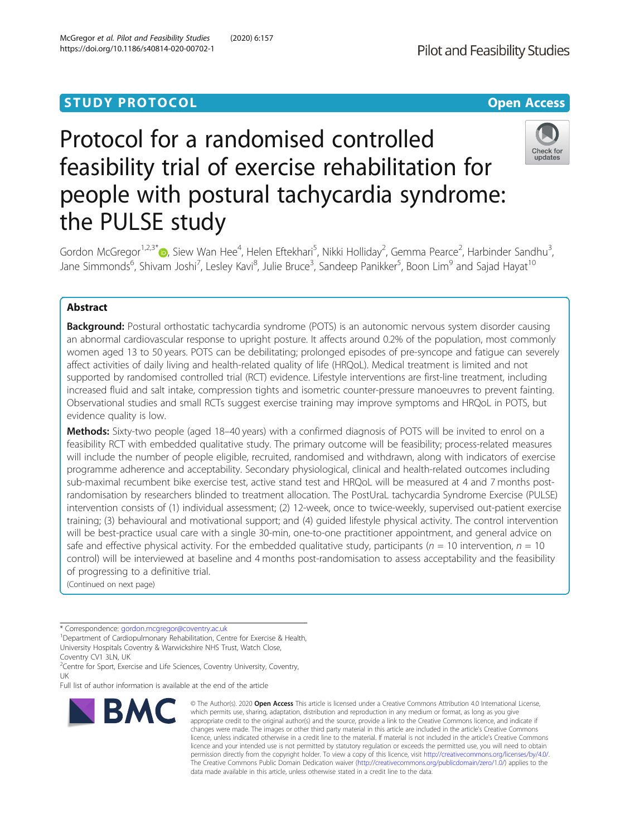## **STUDY PROTOCOL CONSUMING THE CONSUMING OPEN ACCESS**

# Protocol for a randomised controlled feasibility trial of exercise rehabilitation for people with postural tachycardia syndrome: the PULSE study



Gordon McGregor<sup>1[,](http://orcid.org/0000-0001-8963-9107)2,3\*</sup>®, Siew Wan Hee<sup>4</sup>, Helen Eftekhari<sup>5</sup>, Nikki Holliday<sup>2</sup>, Gemma Pearce<sup>2</sup>, Harbinder Sandhu<sup>3</sup> , Jane Simmonds<sup>6</sup>, Shivam Joshi<sup>7</sup>, Lesley Kavi<sup>8</sup>, Julie Bruce<sup>3</sup>, Sandeep Panikker<sup>5</sup>, Boon Lim<sup>9</sup> and Sajad Hayat<sup>10</sup>

### Abstract

**Background:** Postural orthostatic tachycardia syndrome (POTS) is an autonomic nervous system disorder causing an abnormal cardiovascular response to upright posture. It affects around 0.2% of the population, most commonly women aged 13 to 50 years. POTS can be debilitating; prolonged episodes of pre-syncope and fatigue can severely affect activities of daily living and health-related quality of life (HRQoL). Medical treatment is limited and not supported by randomised controlled trial (RCT) evidence. Lifestyle interventions are first-line treatment, including increased fluid and salt intake, compression tights and isometric counter-pressure manoeuvres to prevent fainting. Observational studies and small RCTs suggest exercise training may improve symptoms and HRQoL in POTS, but evidence quality is low.

Methods: Sixty-two people (aged 18–40 years) with a confirmed diagnosis of POTS will be invited to enrol on a feasibility RCT with embedded qualitative study. The primary outcome will be feasibility; process-related measures will include the number of people eligible, recruited, randomised and withdrawn, along with indicators of exercise programme adherence and acceptability. Secondary physiological, clinical and health-related outcomes including sub-maximal recumbent bike exercise test, active stand test and HRQoL will be measured at 4 and 7 months postrandomisation by researchers blinded to treatment allocation. The PostUraL tachycardia Syndrome Exercise (PULSE) intervention consists of (1) individual assessment; (2) 12-week, once to twice-weekly, supervised out-patient exercise training; (3) behavioural and motivational support; and (4) guided lifestyle physical activity. The control intervention will be best-practice usual care with a single 30-min, one-to-one practitioner appointment, and general advice on safe and effective physical activity. For the embedded qualitative study, participants ( $n = 10$  intervention,  $n = 10$ control) will be interviewed at baseline and 4 months post-randomisation to assess acceptability and the feasibility of progressing to a definitive trial.

(Continued on next page)

Full list of author information is available at the end of the article



<sup>©</sup> The Author(s), 2020 **Open Access** This article is licensed under a Creative Commons Attribution 4.0 International License, which permits use, sharing, adaptation, distribution and reproduction in any medium or format, as long as you give appropriate credit to the original author(s) and the source, provide a link to the Creative Commons licence, and indicate if changes were made. The images or other third party material in this article are included in the article's Creative Commons licence, unless indicated otherwise in a credit line to the material. If material is not included in the article's Creative Commons licence and your intended use is not permitted by statutory regulation or exceeds the permitted use, you will need to obtain permission directly from the copyright holder. To view a copy of this licence, visit [http://creativecommons.org/licenses/by/4.0/.](http://creativecommons.org/licenses/by/4.0/) The Creative Commons Public Domain Dedication waiver [\(http://creativecommons.org/publicdomain/zero/1.0/](http://creativecommons.org/publicdomain/zero/1.0/)) applies to the data made available in this article, unless otherwise stated in a credit line to the data.

<sup>\*</sup> Correspondence: [gordon.mcgregor@coventry.ac.uk](mailto:gordon.mcgregor@coventry.ac.uk) <sup>1</sup>

<sup>&</sup>lt;sup>1</sup> Department of Cardiopulmonary Rehabilitation, Centre for Exercise & Health, University Hospitals Coventry & Warwickshire NHS Trust, Watch Close,

Coventry CV1 3LN, UK <sup>2</sup> Centre for Sport, Exercise and Life Sciences, Coventry University, Coventry,

UK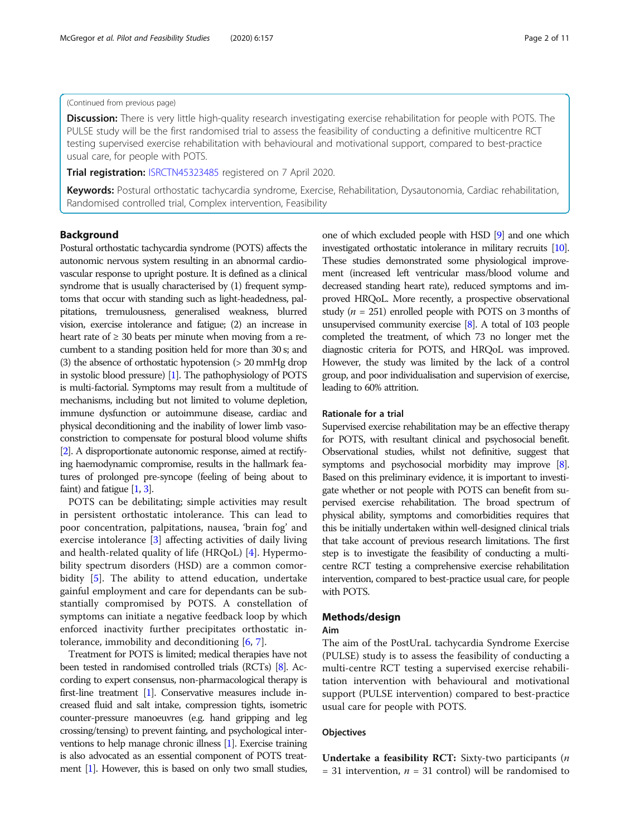#### (Continued from previous page)

Discussion: There is very little high-quality research investigating exercise rehabilitation for people with POTS. The PULSE study will be the first randomised trial to assess the feasibility of conducting a definitive multicentre RCT testing supervised exercise rehabilitation with behavioural and motivational support, compared to best-practice usual care, for people with POTS.

Trial registration: [ISRCTN45323485](http://www.isrctn.com/ISRCTN45323485) registered on 7 April 2020.

Keywords: Postural orthostatic tachycardia syndrome, Exercise, Rehabilitation, Dysautonomia, Cardiac rehabilitation, Randomised controlled trial, Complex intervention, Feasibility

#### Background

Postural orthostatic tachycardia syndrome (POTS) affects the autonomic nervous system resulting in an abnormal cardiovascular response to upright posture. It is defined as a clinical syndrome that is usually characterised by (1) frequent symptoms that occur with standing such as light-headedness, palpitations, tremulousness, generalised weakness, blurred vision, exercise intolerance and fatigue; (2) an increase in heart rate of  $\geq$  30 beats per minute when moving from a recumbent to a standing position held for more than 30 s; and (3) the absence of orthostatic hypotension (> 20 mmHg drop in systolic blood pressure) [\[1](#page-10-0)]. The pathophysiology of POTS is multi-factorial. Symptoms may result from a multitude of mechanisms, including but not limited to volume depletion, immune dysfunction or autoimmune disease, cardiac and physical deconditioning and the inability of lower limb vasoconstriction to compensate for postural blood volume shifts [[2](#page-10-0)]. A disproportionate autonomic response, aimed at rectifying haemodynamic compromise, results in the hallmark features of prolonged pre-syncope (feeling of being about to faint) and fatigue  $[1, 3]$  $[1, 3]$  $[1, 3]$  $[1, 3]$ .

POTS can be debilitating; simple activities may result in persistent orthostatic intolerance. This can lead to poor concentration, palpitations, nausea, 'brain fog' and exercise intolerance [[3\]](#page-10-0) affecting activities of daily living and health-related quality of life (HRQoL) [\[4](#page-10-0)]. Hypermobility spectrum disorders (HSD) are a common comorbidity [\[5](#page-10-0)]. The ability to attend education, undertake gainful employment and care for dependants can be substantially compromised by POTS. A constellation of symptoms can initiate a negative feedback loop by which enforced inactivity further precipitates orthostatic intolerance, immobility and deconditioning [[6,](#page-10-0) [7\]](#page-10-0).

Treatment for POTS is limited; medical therapies have not been tested in randomised controlled trials (RCTs) [\[8\]](#page-10-0). According to expert consensus, non-pharmacological therapy is first-line treatment [\[1\]](#page-10-0). Conservative measures include increased fluid and salt intake, compression tights, isometric counter-pressure manoeuvres (e.g. hand gripping and leg crossing/tensing) to prevent fainting, and psychological interventions to help manage chronic illness [\[1](#page-10-0)]. Exercise training is also advocated as an essential component of POTS treatment [\[1\]](#page-10-0). However, this is based on only two small studies, one of which excluded people with HSD [[9](#page-10-0)] and one which investigated orthostatic intolerance in military recruits [\[10\]](#page-10-0). These studies demonstrated some physiological improvement (increased left ventricular mass/blood volume and decreased standing heart rate), reduced symptoms and improved HRQoL. More recently, a prospective observational study ( $n = 251$ ) enrolled people with POTS on 3 months of unsupervised community exercise [\[8\]](#page-10-0). A total of 103 people completed the treatment, of which 73 no longer met the diagnostic criteria for POTS, and HRQoL was improved. However, the study was limited by the lack of a control group, and poor individualisation and supervision of exercise, leading to 60% attrition.

#### Rationale for a trial

Supervised exercise rehabilitation may be an effective therapy for POTS, with resultant clinical and psychosocial benefit. Observational studies, whilst not definitive, suggest that symptoms and psychosocial morbidity may improve [\[8\]](#page-10-0). Based on this preliminary evidence, it is important to investigate whether or not people with POTS can benefit from supervised exercise rehabilitation. The broad spectrum of physical ability, symptoms and comorbidities requires that this be initially undertaken within well-designed clinical trials that take account of previous research limitations. The first step is to investigate the feasibility of conducting a multicentre RCT testing a comprehensive exercise rehabilitation intervention, compared to best-practice usual care, for people with POTS.

#### Methods/design

#### Aim

The aim of the PostUraL tachycardia Syndrome Exercise (PULSE) study is to assess the feasibility of conducting a multi-centre RCT testing a supervised exercise rehabilitation intervention with behavioural and motivational support (PULSE intervention) compared to best-practice usual care for people with POTS.

#### **Objectives**

Undertake a feasibility RCT: Sixty-two participants (n  $=$  31 intervention,  $n = 31$  control) will be randomised to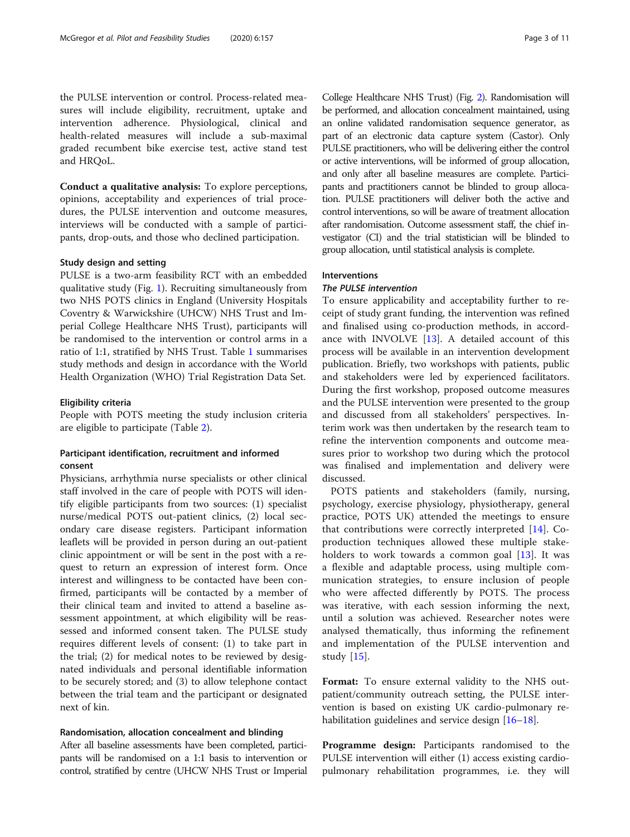the PULSE intervention or control. Process-related measures will include eligibility, recruitment, uptake and intervention adherence. Physiological, clinical and health-related measures will include a sub-maximal graded recumbent bike exercise test, active stand test and HRQoL.

Conduct a qualitative analysis: To explore perceptions, opinions, acceptability and experiences of trial procedures, the PULSE intervention and outcome measures, interviews will be conducted with a sample of participants, drop-outs, and those who declined participation.

#### Study design and setting

PULSE is a two-arm feasibility RCT with an embedded qualitative study (Fig. [1\)](#page-3-0). Recruiting simultaneously from two NHS POTS clinics in England (University Hospitals Coventry & Warwickshire (UHCW) NHS Trust and Imperial College Healthcare NHS Trust), participants will be randomised to the intervention or control arms in a ratio of 1:1, stratified by NHS Trust. Table [1](#page-4-0) summarises study methods and design in accordance with the World Health Organization (WHO) Trial Registration Data Set.

#### Eligibility criteria

People with POTS meeting the study inclusion criteria are eligible to participate (Table [2](#page-5-0)).

#### Participant identification, recruitment and informed consent

Physicians, arrhythmia nurse specialists or other clinical staff involved in the care of people with POTS will identify eligible participants from two sources: (1) specialist nurse/medical POTS out-patient clinics, (2) local secondary care disease registers. Participant information leaflets will be provided in person during an out-patient clinic appointment or will be sent in the post with a request to return an expression of interest form. Once interest and willingness to be contacted have been confirmed, participants will be contacted by a member of their clinical team and invited to attend a baseline assessment appointment, at which eligibility will be reassessed and informed consent taken. The PULSE study requires different levels of consent: (1) to take part in the trial; (2) for medical notes to be reviewed by designated individuals and personal identifiable information to be securely stored; and (3) to allow telephone contact between the trial team and the participant or designated next of kin.

#### Randomisation, allocation concealment and blinding

After all baseline assessments have been completed, participants will be randomised on a 1:1 basis to intervention or control, stratified by centre (UHCW NHS Trust or Imperial

College Healthcare NHS Trust) (Fig. [2\)](#page-6-0). Randomisation will be performed, and allocation concealment maintained, using an online validated randomisation sequence generator, as part of an electronic data capture system (Castor). Only PULSE practitioners, who will be delivering either the control or active interventions, will be informed of group allocation, and only after all baseline measures are complete. Participants and practitioners cannot be blinded to group allocation. PULSE practitioners will deliver both the active and control interventions, so will be aware of treatment allocation after randomisation. Outcome assessment staff, the chief investigator (CI) and the trial statistician will be blinded to group allocation, until statistical analysis is complete.

#### Interventions

#### The PULSE intervention

To ensure applicability and acceptability further to receipt of study grant funding, the intervention was refined and finalised using co-production methods, in accordance with INVOLVE [\[13](#page-10-0)]. A detailed account of this process will be available in an intervention development publication. Briefly, two workshops with patients, public and stakeholders were led by experienced facilitators. During the first workshop, proposed outcome measures and the PULSE intervention were presented to the group and discussed from all stakeholders' perspectives. Interim work was then undertaken by the research team to refine the intervention components and outcome measures prior to workshop two during which the protocol was finalised and implementation and delivery were discussed.

POTS patients and stakeholders (family, nursing, psychology, exercise physiology, physiotherapy, general practice, POTS UK) attended the meetings to ensure that contributions were correctly interpreted [\[14](#page-10-0)]. Coproduction techniques allowed these multiple stakeholders to work towards a common goal  $[13]$  $[13]$ . It was a flexible and adaptable process, using multiple communication strategies, to ensure inclusion of people who were affected differently by POTS. The process was iterative, with each session informing the next, until a solution was achieved. Researcher notes were analysed thematically, thus informing the refinement and implementation of the PULSE intervention and study [\[15](#page-10-0)].

Format: To ensure external validity to the NHS outpatient/community outreach setting, the PULSE intervention is based on existing UK cardio-pulmonary re-habilitation guidelines and service design [[16](#page-10-0)–[18](#page-10-0)].

Programme design: Participants randomised to the PULSE intervention will either (1) access existing cardiopulmonary rehabilitation programmes, i.e. they will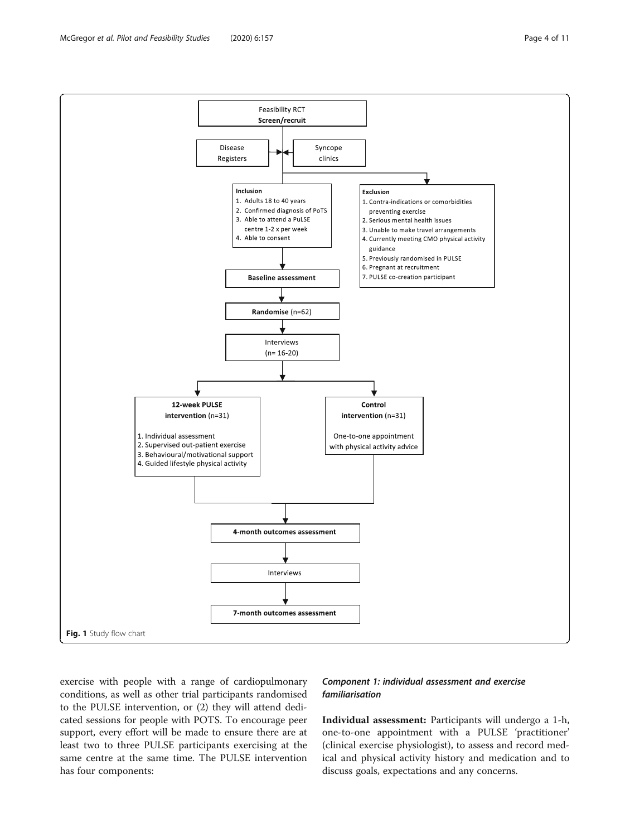<span id="page-3-0"></span>

exercise with people with a range of cardiopulmonary conditions, as well as other trial participants randomised to the PULSE intervention, or (2) they will attend dedicated sessions for people with POTS. To encourage peer support, every effort will be made to ensure there are at least two to three PULSE participants exercising at the same centre at the same time. The PULSE intervention has four components:

#### Component 1: individual assessment and exercise familiarisation

Individual assessment: Participants will undergo a 1-h, one-to-one appointment with a PULSE 'practitioner' (clinical exercise physiologist), to assess and record medical and physical activity history and medication and to discuss goals, expectations and any concerns.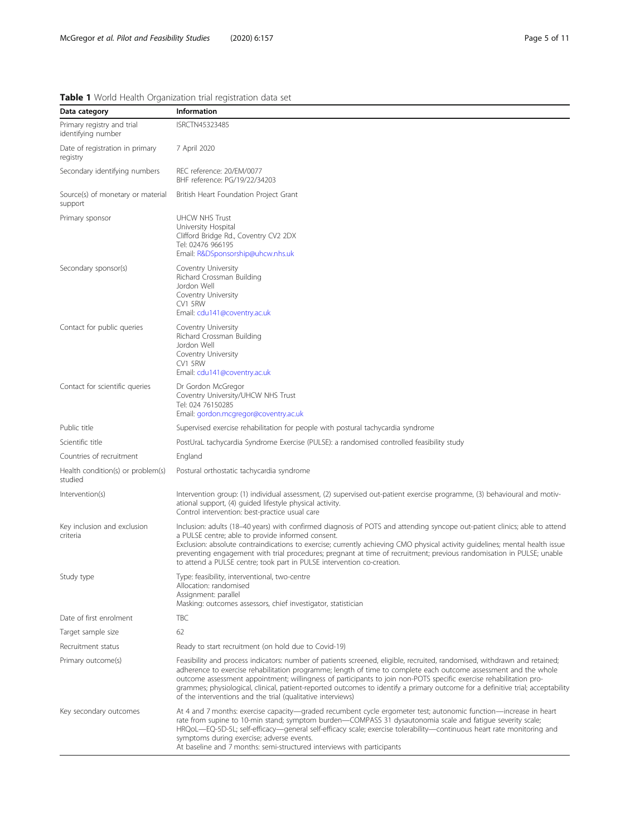| Data category                                    | Information                                                                                                                                                                                                                                                                                                                                                                                                                                                                                                                                                           |
|--------------------------------------------------|-----------------------------------------------------------------------------------------------------------------------------------------------------------------------------------------------------------------------------------------------------------------------------------------------------------------------------------------------------------------------------------------------------------------------------------------------------------------------------------------------------------------------------------------------------------------------|
| Primary registry and trial<br>identifying number | ISRCTN45323485                                                                                                                                                                                                                                                                                                                                                                                                                                                                                                                                                        |
| Date of registration in primary<br>registry      | 7 April 2020                                                                                                                                                                                                                                                                                                                                                                                                                                                                                                                                                          |
| Secondary identifying numbers                    | REC reference: 20/EM/0077<br>BHF reference: PG/19/22/34203                                                                                                                                                                                                                                                                                                                                                                                                                                                                                                            |
| Source(s) of monetary or material<br>support     | British Heart Foundation Project Grant                                                                                                                                                                                                                                                                                                                                                                                                                                                                                                                                |
| Primary sponsor                                  | <b>UHCW NHS Trust</b><br>University Hospital<br>Clifford Bridge Rd., Coventry CV2 2DX<br>Tel: 02476 966195<br>Email: R&DSponsorship@uhcw.nhs.uk                                                                                                                                                                                                                                                                                                                                                                                                                       |
| Secondary sponsor(s)                             | Coventry University<br>Richard Crossman Building<br>Jordon Well<br>Coventry University<br>CV1 5RW<br>Email: cdu141@coventry.ac.uk                                                                                                                                                                                                                                                                                                                                                                                                                                     |
| Contact for public queries                       | Coventry University<br>Richard Crossman Building<br>Jordon Well<br>Coventry University<br>CV1 5RW<br>Email: cdu141@coventry.ac.uk                                                                                                                                                                                                                                                                                                                                                                                                                                     |
| Contact for scientific queries                   | Dr Gordon McGregor<br>Coventry University/UHCW NHS Trust<br>Tel: 024 76150285<br>Email: gordon.mcgregor@coventry.ac.uk                                                                                                                                                                                                                                                                                                                                                                                                                                                |
| Public title                                     | Supervised exercise rehabilitation for people with postural tachycardia syndrome                                                                                                                                                                                                                                                                                                                                                                                                                                                                                      |
| Scientific title                                 | PostUraL tachycardia Syndrome Exercise (PULSE): a randomised controlled feasibility study                                                                                                                                                                                                                                                                                                                                                                                                                                                                             |
| Countries of recruitment                         | England                                                                                                                                                                                                                                                                                                                                                                                                                                                                                                                                                               |
| Health condition(s) or problem(s)<br>studied     | Postural orthostatic tachycardia syndrome                                                                                                                                                                                                                                                                                                                                                                                                                                                                                                                             |
| Intervention(s)                                  | Intervention group: (1) individual assessment, (2) supervised out-patient exercise programme, (3) behavioural and motiv-<br>ational support, (4) quided lifestyle physical activity.<br>Control intervention: best-practice usual care                                                                                                                                                                                                                                                                                                                                |
| Key inclusion and exclusion<br>criteria          | Inclusion: adults (18–40 years) with confirmed diagnosis of POTS and attending syncope out-patient clinics; able to attend<br>a PULSE centre; able to provide informed consent.<br>Exclusion: absolute contraindications to exercise; currently achieving CMO physical activity guidelines; mental health issue<br>preventing engagement with trial procedures; pregnant at time of recruitment; previous randomisation in PULSE; unable<br>to attend a PULSE centre; took part in PULSE intervention co-creation.                                                    |
| Study type                                       | Type: feasibility, interventional, two-centre<br>Allocation: randomised<br>Assignment: parallel<br>Masking: outcomes assessors, chief investigator, statistician                                                                                                                                                                                                                                                                                                                                                                                                      |
| Date of first enrolment                          | <b>TBC</b>                                                                                                                                                                                                                                                                                                                                                                                                                                                                                                                                                            |
| Target sample size                               | 62                                                                                                                                                                                                                                                                                                                                                                                                                                                                                                                                                                    |
| Recruitment status                               | Ready to start recruitment (on hold due to Covid-19)                                                                                                                                                                                                                                                                                                                                                                                                                                                                                                                  |
| Primary outcome(s)                               | Feasibility and process indicators: number of patients screened, eligible, recruited, randomised, withdrawn and retained;<br>adherence to exercise rehabilitation programme, length of time to complete each outcome assessment and the whole<br>outcome assessment appointment; willingness of participants to join non-POTS specific exercise rehabilitation pro-<br>grammes; physiological, clinical, patient-reported outcomes to identify a primary outcome for a definitive trial; acceptability<br>of the interventions and the trial (qualitative interviews) |
| Key secondary outcomes                           | At 4 and 7 months: exercise capacity—graded recumbent cycle ergometer test; autonomic function—increase in heart<br>rate from supine to 10-min stand; symptom burden—COMPASS 31 dysautonomia scale and fatigue severity scale;<br>HRQoL—EQ-5D-5L; self-efficacy—general self-efficacy scale; exercise tolerability—continuous heart rate monitoring and<br>symptoms during exercise; adverse events.<br>At baseline and 7 months: semi-structured interviews with participants                                                                                        |

#### <span id="page-4-0"></span>Table 1 World Health Organization trial registration data set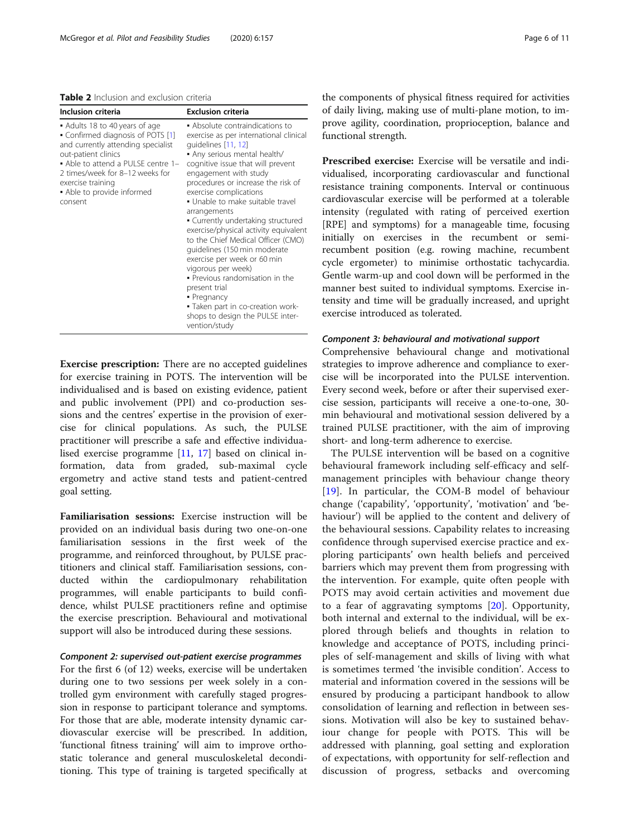<span id="page-5-0"></span>Table 2 Inclusion and exclusion criteria

| Inclusion criteria                                                                                                                                                                                                                                                      | <b>Exclusion criteria</b>                                                                                                                                                                                                                                                                                                                                                                                                                                                                                                                                                                                                                                                                 |  |  |
|-------------------------------------------------------------------------------------------------------------------------------------------------------------------------------------------------------------------------------------------------------------------------|-------------------------------------------------------------------------------------------------------------------------------------------------------------------------------------------------------------------------------------------------------------------------------------------------------------------------------------------------------------------------------------------------------------------------------------------------------------------------------------------------------------------------------------------------------------------------------------------------------------------------------------------------------------------------------------------|--|--|
| • Adults 18 to 40 years of age<br>• Confirmed diagnosis of POTS [1]<br>and currently attending specialist<br>out-patient clinics<br>• Able to attend a PULSE centre 1-<br>2 times/week for 8-12 weeks for<br>exercise training<br>• Able to provide informed<br>consent | • Absolute contraindications to<br>exercise as per international clinical<br>quidelines [11, 12]<br>• Any serious mental health/<br>cognitive issue that will prevent<br>engagement with study<br>procedures or increase the risk of<br>exercise complications<br>• Unable to make suitable travel<br>arrangements<br>• Currently undertaking structured<br>exercise/physical activity equivalent<br>to the Chief Medical Officer (CMO)<br>quidelines (150 min moderate<br>exercise per week or 60 min<br>vigorous per week)<br>• Previous randomisation in the<br>present trial<br>• Pregnancy<br>• Taken part in co-creation work-<br>shops to design the PULSE inter-<br>vention/study |  |  |

Exercise prescription: There are no accepted guidelines for exercise training in POTS. The intervention will be individualised and is based on existing evidence, patient and public involvement (PPI) and co-production sessions and the centres' expertise in the provision of exercise for clinical populations. As such, the PULSE practitioner will prescribe a safe and effective individualised exercise programme [[11,](#page-10-0) [17\]](#page-10-0) based on clinical information, data from graded, sub-maximal cycle ergometry and active stand tests and patient-centred goal setting.

Familiarisation sessions: Exercise instruction will be provided on an individual basis during two one-on-one familiarisation sessions in the first week of the programme, and reinforced throughout, by PULSE practitioners and clinical staff. Familiarisation sessions, conducted within the cardiopulmonary rehabilitation programmes, will enable participants to build confidence, whilst PULSE practitioners refine and optimise the exercise prescription. Behavioural and motivational support will also be introduced during these sessions.

#### Component 2: supervised out-patient exercise programmes

For the first 6 (of 12) weeks, exercise will be undertaken during one to two sessions per week solely in a controlled gym environment with carefully staged progression in response to participant tolerance and symptoms. For those that are able, moderate intensity dynamic cardiovascular exercise will be prescribed. In addition, 'functional fitness training' will aim to improve orthostatic tolerance and general musculoskeletal deconditioning. This type of training is targeted specifically at the components of physical fitness required for activities of daily living, making use of multi-plane motion, to improve agility, coordination, proprioception, balance and functional strength.

Prescribed exercise: Exercise will be versatile and individualised, incorporating cardiovascular and functional resistance training components. Interval or continuous cardiovascular exercise will be performed at a tolerable intensity (regulated with rating of perceived exertion [RPE] and symptoms) for a manageable time, focusing initially on exercises in the recumbent or semirecumbent position (e.g. rowing machine, recumbent cycle ergometer) to minimise orthostatic tachycardia. Gentle warm-up and cool down will be performed in the manner best suited to individual symptoms. Exercise intensity and time will be gradually increased, and upright exercise introduced as tolerated.

#### Component 3: behavioural and motivational support

Comprehensive behavioural change and motivational strategies to improve adherence and compliance to exercise will be incorporated into the PULSE intervention. Every second week, before or after their supervised exercise session, participants will receive a one-to-one, 30 min behavioural and motivational session delivered by a trained PULSE practitioner, with the aim of improving short- and long-term adherence to exercise.

The PULSE intervention will be based on a cognitive behavioural framework including self-efficacy and selfmanagement principles with behaviour change theory [[19\]](#page-10-0). In particular, the COM-B model of behaviour change ('capability', 'opportunity', 'motivation' and 'behaviour') will be applied to the content and delivery of the behavioural sessions. Capability relates to increasing confidence through supervised exercise practice and exploring participants' own health beliefs and perceived barriers which may prevent them from progressing with the intervention. For example, quite often people with POTS may avoid certain activities and movement due to a fear of aggravating symptoms [\[20](#page-10-0)]. Opportunity, both internal and external to the individual, will be explored through beliefs and thoughts in relation to knowledge and acceptance of POTS, including principles of self-management and skills of living with what is sometimes termed 'the invisible condition'. Access to material and information covered in the sessions will be ensured by producing a participant handbook to allow consolidation of learning and reflection in between sessions. Motivation will also be key to sustained behaviour change for people with POTS. This will be addressed with planning, goal setting and exploration of expectations, with opportunity for self-reflection and discussion of progress, setbacks and overcoming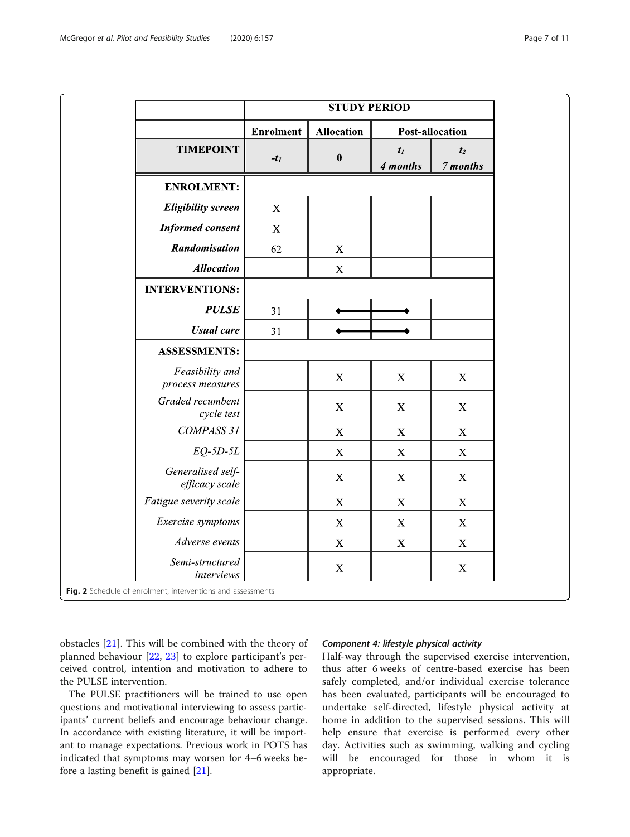<span id="page-6-0"></span>

| <b>STUDY PERIOD</b> |                   |                        |                            |
|---------------------|-------------------|------------------------|----------------------------|
| <b>Enrolment</b>    | <b>Allocation</b> | <b>Post-allocation</b> |                            |
| $-tI$               | $\boldsymbol{0}$  | $t_I$<br>4 months      | t <sub>2</sub><br>7 months |
|                     |                   |                        |                            |
| $\mathbf X$         |                   |                        |                            |
| $\mathbf X$         |                   |                        |                            |
| 62                  | $\mathbf X$       |                        |                            |
|                     | $\mathbf X$       |                        |                            |
|                     |                   |                        |                            |
| 31                  |                   |                        |                            |
| 31                  |                   |                        |                            |
|                     |                   |                        |                            |
|                     | $\mathbf X$       | $\mathbf X$            | $\mathbf X$                |
|                     | $\mathbf X$       | $\mathbf X$            | $\mathbf X$                |
|                     | $\mathbf X$       | $\mathbf X$            | $\mathbf X$                |
|                     | $\mathbf X$       | $\mathbf X$            | $\mathbf X$                |
|                     | $\mathbf X$       | $\mathbf X$            | $\mathbf X$                |
|                     | $\mathbf X$       | $\mathbf X$            | $\mathbf X$                |
|                     | $\mathbf X$       | $\mathbf X$            | $\mathbf X$                |
|                     | $\mathbf X$       | $\mathbf X$            | $\mathbf X$                |
|                     | $\mathbf X$       |                        | $\mathbf X$                |
|                     |                   |                        |                            |

obstacles [[21](#page-10-0)]. This will be combined with the theory of planned behaviour [[22](#page-10-0), [23\]](#page-10-0) to explore participant's perceived control, intention and motivation to adhere to the PULSE intervention.

The PULSE practitioners will be trained to use open questions and motivational interviewing to assess participants' current beliefs and encourage behaviour change. In accordance with existing literature, it will be important to manage expectations. Previous work in POTS has indicated that symptoms may worsen for 4–6 weeks before a lasting benefit is gained [\[21](#page-10-0)].

#### Component 4: lifestyle physical activity

Half-way through the supervised exercise intervention, thus after 6 weeks of centre-based exercise has been safely completed, and/or individual exercise tolerance has been evaluated, participants will be encouraged to undertake self-directed, lifestyle physical activity at home in addition to the supervised sessions. This will help ensure that exercise is performed every other day. Activities such as swimming, walking and cycling will be encouraged for those in whom it is appropriate.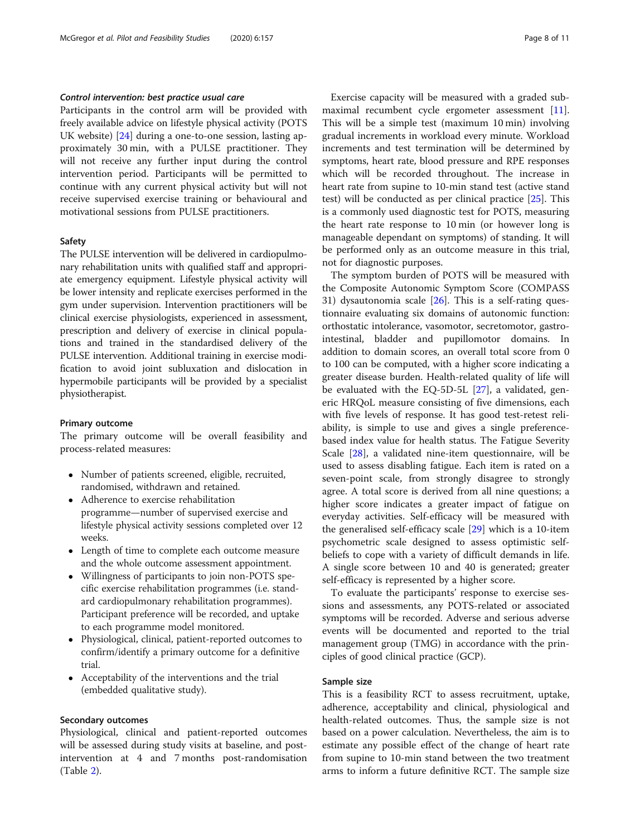#### Control intervention: best practice usual care

Participants in the control arm will be provided with freely available advice on lifestyle physical activity (POTS UK website) [[24\]](#page-10-0) during a one-to-one session, lasting approximately 30 min, with a PULSE practitioner. They will not receive any further input during the control intervention period. Participants will be permitted to continue with any current physical activity but will not receive supervised exercise training or behavioural and motivational sessions from PULSE practitioners.

#### Safety

The PULSE intervention will be delivered in cardiopulmonary rehabilitation units with qualified staff and appropriate emergency equipment. Lifestyle physical activity will be lower intensity and replicate exercises performed in the gym under supervision. Intervention practitioners will be clinical exercise physiologists, experienced in assessment, prescription and delivery of exercise in clinical populations and trained in the standardised delivery of the PULSE intervention. Additional training in exercise modification to avoid joint subluxation and dislocation in hypermobile participants will be provided by a specialist physiotherapist.

#### Primary outcome

The primary outcome will be overall feasibility and process-related measures:

- Number of patients screened, eligible, recruited, randomised, withdrawn and retained.
- Adherence to exercise rehabilitation programme—number of supervised exercise and lifestyle physical activity sessions completed over 12 weeks.
- Length of time to complete each outcome measure and the whole outcome assessment appointment.
- Willingness of participants to join non-POTS specific exercise rehabilitation programmes (i.e. standard cardiopulmonary rehabilitation programmes). Participant preference will be recorded, and uptake to each programme model monitored.
- Physiological, clinical, patient-reported outcomes to confirm/identify a primary outcome for a definitive trial.
- Acceptability of the interventions and the trial (embedded qualitative study).

#### Secondary outcomes

Physiological, clinical and patient-reported outcomes will be assessed during study visits at baseline, and postintervention at 4 and 7 months post-randomisation (Table [2\)](#page-5-0).

Exercise capacity will be measured with a graded submaximal recumbent cycle ergometer assessment [\[11](#page-10-0)]. This will be a simple test (maximum 10 min) involving gradual increments in workload every minute. Workload increments and test termination will be determined by symptoms, heart rate, blood pressure and RPE responses which will be recorded throughout. The increase in heart rate from supine to 10-min stand test (active stand test) will be conducted as per clinical practice [[25\]](#page-10-0). This is a commonly used diagnostic test for POTS, measuring the heart rate response to 10 min (or however long is manageable dependant on symptoms) of standing. It will be performed only as an outcome measure in this trial, not for diagnostic purposes.

The symptom burden of POTS will be measured with the Composite Autonomic Symptom Score (COMPASS 31) dysautonomia scale [\[26\]](#page-10-0). This is a self-rating questionnaire evaluating six domains of autonomic function: orthostatic intolerance, vasomotor, secretomotor, gastrointestinal, bladder and pupillomotor domains. In addition to domain scores, an overall total score from 0 to 100 can be computed, with a higher score indicating a greater disease burden. Health-related quality of life will be evaluated with the EQ-5D-5L [\[27\]](#page-10-0), a validated, generic HRQoL measure consisting of five dimensions, each with five levels of response. It has good test-retest reliability, is simple to use and gives a single preferencebased index value for health status. The Fatigue Severity Scale [\[28](#page-10-0)], a validated nine-item questionnaire, will be used to assess disabling fatigue. Each item is rated on a seven-point scale, from strongly disagree to strongly agree. A total score is derived from all nine questions; a higher score indicates a greater impact of fatigue on everyday activities. Self-efficacy will be measured with the generalised self-efficacy scale [[29\]](#page-10-0) which is a 10-item psychometric scale designed to assess optimistic selfbeliefs to cope with a variety of difficult demands in life. A single score between 10 and 40 is generated; greater self-efficacy is represented by a higher score.

To evaluate the participants' response to exercise sessions and assessments, any POTS-related or associated symptoms will be recorded. Adverse and serious adverse events will be documented and reported to the trial management group (TMG) in accordance with the principles of good clinical practice (GCP).

#### Sample size

This is a feasibility RCT to assess recruitment, uptake, adherence, acceptability and clinical, physiological and health-related outcomes. Thus, the sample size is not based on a power calculation. Nevertheless, the aim is to estimate any possible effect of the change of heart rate from supine to 10-min stand between the two treatment arms to inform a future definitive RCT. The sample size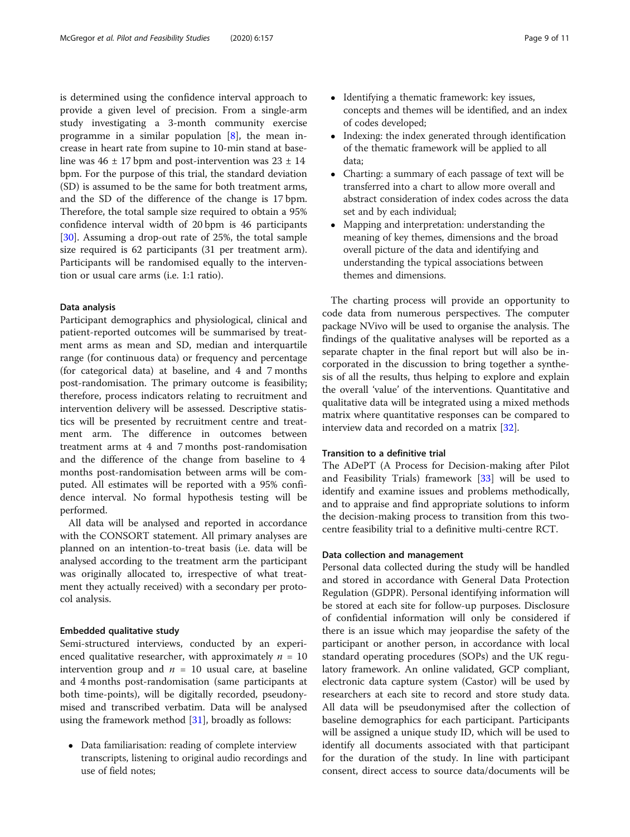is determined using the confidence interval approach to provide a given level of precision. From a single-arm study investigating a 3-month community exercise programme in a similar population  $[8]$  $[8]$ , the mean increase in heart rate from supine to 10-min stand at baseline was  $46 \pm 17$  bpm and post-intervention was  $23 \pm 14$ bpm. For the purpose of this trial, the standard deviation (SD) is assumed to be the same for both treatment arms, and the SD of the difference of the change is 17 bpm. Therefore, the total sample size required to obtain a 95% confidence interval width of 20 bpm is 46 participants [[30\]](#page-10-0). Assuming a drop-out rate of 25%, the total sample size required is 62 participants (31 per treatment arm). Participants will be randomised equally to the intervention or usual care arms (i.e. 1:1 ratio).

#### Data analysis

Participant demographics and physiological, clinical and patient-reported outcomes will be summarised by treatment arms as mean and SD, median and interquartile range (for continuous data) or frequency and percentage (for categorical data) at baseline, and 4 and 7 months post-randomisation. The primary outcome is feasibility; therefore, process indicators relating to recruitment and intervention delivery will be assessed. Descriptive statistics will be presented by recruitment centre and treatment arm. The difference in outcomes between treatment arms at 4 and 7 months post-randomisation and the difference of the change from baseline to 4 months post-randomisation between arms will be computed. All estimates will be reported with a 95% confidence interval. No formal hypothesis testing will be performed.

All data will be analysed and reported in accordance with the CONSORT statement. All primary analyses are planned on an intention-to-treat basis (i.e. data will be analysed according to the treatment arm the participant was originally allocated to, irrespective of what treatment they actually received) with a secondary per protocol analysis.

#### Embedded qualitative study

Semi-structured interviews, conducted by an experienced qualitative researcher, with approximately  $n = 10$ intervention group and  $n = 10$  usual care, at baseline and 4 months post-randomisation (same participants at both time-points), will be digitally recorded, pseudonymised and transcribed verbatim. Data will be analysed using the framework method [[31\]](#page-10-0), broadly as follows:

• Data familiarisation: reading of complete interview transcripts, listening to original audio recordings and use of field notes;

- Identifying a thematic framework: key issues, concepts and themes will be identified, and an index of codes developed;
- Indexing: the index generated through identification of the thematic framework will be applied to all data;
- Charting: a summary of each passage of text will be transferred into a chart to allow more overall and abstract consideration of index codes across the data set and by each individual;
- Mapping and interpretation: understanding the meaning of key themes, dimensions and the broad overall picture of the data and identifying and understanding the typical associations between themes and dimensions.

The charting process will provide an opportunity to code data from numerous perspectives. The computer package NVivo will be used to organise the analysis. The findings of the qualitative analyses will be reported as a separate chapter in the final report but will also be incorporated in the discussion to bring together a synthesis of all the results, thus helping to explore and explain the overall 'value' of the interventions. Quantitative and qualitative data will be integrated using a mixed methods matrix where quantitative responses can be compared to interview data and recorded on a matrix [\[32\]](#page-10-0).

#### Transition to a definitive trial

The ADePT (A Process for Decision-making after Pilot and Feasibility Trials) framework [\[33](#page-10-0)] will be used to identify and examine issues and problems methodically, and to appraise and find appropriate solutions to inform the decision-making process to transition from this twocentre feasibility trial to a definitive multi-centre RCT.

#### Data collection and management

Personal data collected during the study will be handled and stored in accordance with General Data Protection Regulation (GDPR). Personal identifying information will be stored at each site for follow-up purposes. Disclosure of confidential information will only be considered if there is an issue which may jeopardise the safety of the participant or another person, in accordance with local standard operating procedures (SOPs) and the UK regulatory framework. An online validated, GCP compliant, electronic data capture system (Castor) will be used by researchers at each site to record and store study data. All data will be pseudonymised after the collection of baseline demographics for each participant. Participants will be assigned a unique study ID, which will be used to identify all documents associated with that participant for the duration of the study. In line with participant consent, direct access to source data/documents will be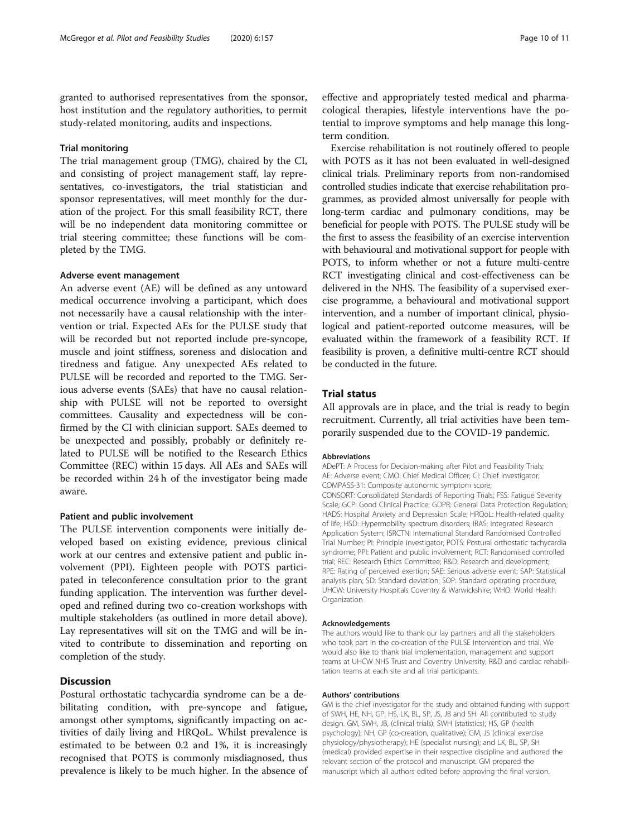granted to authorised representatives from the sponsor, host institution and the regulatory authorities, to permit study-related monitoring, audits and inspections.

#### Trial monitoring

The trial management group (TMG), chaired by the CI, and consisting of project management staff, lay representatives, co-investigators, the trial statistician and sponsor representatives, will meet monthly for the duration of the project. For this small feasibility RCT, there will be no independent data monitoring committee or trial steering committee; these functions will be completed by the TMG.

#### Adverse event management

An adverse event (AE) will be defined as any untoward medical occurrence involving a participant, which does not necessarily have a causal relationship with the intervention or trial. Expected AEs for the PULSE study that will be recorded but not reported include pre-syncope, muscle and joint stiffness, soreness and dislocation and tiredness and fatigue. Any unexpected AEs related to PULSE will be recorded and reported to the TMG. Serious adverse events (SAEs) that have no causal relationship with PULSE will not be reported to oversight committees. Causality and expectedness will be confirmed by the CI with clinician support. SAEs deemed to be unexpected and possibly, probably or definitely related to PULSE will be notified to the Research Ethics Committee (REC) within 15 days. All AEs and SAEs will be recorded within 24 h of the investigator being made aware.

#### Patient and public involvement

The PULSE intervention components were initially developed based on existing evidence, previous clinical work at our centres and extensive patient and public involvement (PPI). Eighteen people with POTS participated in teleconference consultation prior to the grant funding application. The intervention was further developed and refined during two co-creation workshops with multiple stakeholders (as outlined in more detail above). Lay representatives will sit on the TMG and will be invited to contribute to dissemination and reporting on completion of the study.

#### **Discussion**

Postural orthostatic tachycardia syndrome can be a debilitating condition, with pre-syncope and fatigue, amongst other symptoms, significantly impacting on activities of daily living and HRQoL. Whilst prevalence is estimated to be between 0.2 and 1%, it is increasingly recognised that POTS is commonly misdiagnosed, thus prevalence is likely to be much higher. In the absence of effective and appropriately tested medical and pharmacological therapies, lifestyle interventions have the potential to improve symptoms and help manage this longterm condition.

Exercise rehabilitation is not routinely offered to people with POTS as it has not been evaluated in well-designed clinical trials. Preliminary reports from non-randomised controlled studies indicate that exercise rehabilitation programmes, as provided almost universally for people with long-term cardiac and pulmonary conditions, may be beneficial for people with POTS. The PULSE study will be the first to assess the feasibility of an exercise intervention with behavioural and motivational support for people with POTS, to inform whether or not a future multi-centre RCT investigating clinical and cost-effectiveness can be delivered in the NHS. The feasibility of a supervised exercise programme, a behavioural and motivational support intervention, and a number of important clinical, physiological and patient-reported outcome measures, will be evaluated within the framework of a feasibility RCT. If feasibility is proven, a definitive multi-centre RCT should be conducted in the future.

#### Trial status

All approvals are in place, and the trial is ready to begin recruitment. Currently, all trial activities have been temporarily suspended due to the COVID-19 pandemic.

#### Abbreviations

ADePT: A Process for Decision-making after Pilot and Feasibility Trials; AE: Adverse event; CMO: Chief Medical Officer; CI: Chief investigator; COMPASS-31: Composite autonomic symptom score; CONSORT: Consolidated Standards of Reporting Trials; FSS: Fatigue Severity Scale; GCP: Good Clinical Practice; GDPR: General Data Protection Regulation; HADS: Hospital Anxiety and Depression Scale; HRQoL: Health-related quality of life; HSD: Hypermobility spectrum disorders; IRAS: Integrated Research Application System; ISRCTN: International Standard Randomised Controlled Trial Number; PI: Principle investigator; POTS: Postural orthostatic tachycardia syndrome; PPI: Patient and public involvement; RCT: Randomised controlled trial; REC: Research Ethics Committee; R&D: Research and development; RPE: Rating of perceived exertion; SAE: Serious adverse event; SAP: Statistical analysis plan; SD: Standard deviation; SOP: Standard operating procedure; UHCW: University Hospitals Coventry & Warwickshire; WHO: World Health Organization

#### Acknowledgements

The authors would like to thank our lay partners and all the stakeholders who took part in the co-creation of the PULSE intervention and trial. We would also like to thank trial implementation, management and support teams at UHCW NHS Trust and Coventry University, R&D and cardiac rehabilitation teams at each site and all trial participants.

#### Authors' contributions

GM is the chief investigator for the study and obtained funding with support of SWH, HE, NH, GP, HS, LK, BL, SP, JS, JB and SH. All contributed to study design. GM, SWH, JB, (clinical trials); SWH (statistics); HS, GP (health psychology); NH, GP (co-creation, qualitative); GM, JS (clinical exercise physiology/physiotherapy); HE (specialist nursing); and LK, BL, SP, SH (medical) provided expertise in their respective discipline and authored the relevant section of the protocol and manuscript. GM prepared the manuscript which all authors edited before approving the final version.